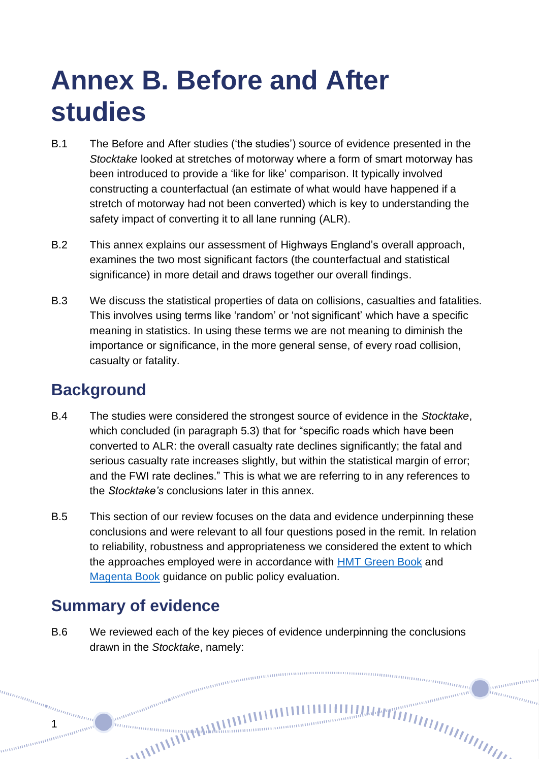# **Annex B. Before and After studies**

- B.1 The Before and After studies ('the studies') source of evidence presented in the *Stocktake* looked at stretches of motorway where a form of smart motorway has been introduced to provide a 'like for like' comparison. It typically involved constructing a counterfactual (an estimate of what would have happened if a stretch of motorway had not been converted) which is key to understanding the safety impact of converting it to all lane running (ALR).
- B.2 This annex explains our assessment of Highways England's overall approach, examines the two most significant factors (the counterfactual and statistical significance) in more detail and draws together our overall findings.
- B.3 We discuss the statistical properties of data on collisions, casualties and fatalities. This involves using terms like 'random' or 'not significant' which have a specific meaning in statistics. In using these terms we are not meaning to diminish the importance or significance, in the more general sense, of every road collision, casualty or fatality.

# **Background**

- B.4 The studies were considered the strongest source of evidence in the *Stocktake*, which concluded (in paragraph 5.3) that for "specific roads which have been converted to ALR: the overall casualty rate declines significantly; the fatal and serious casualty rate increases slightly, but within the statistical margin of error; and the FWI rate declines." This is what we are referring to in any references to the *Stocktake's* conclusions later in this annex.
- B.5 This section of our review focuses on the data and evidence underpinning these conclusions and were relevant to all four questions posed in the remit. In relation to reliability, robustness and appropriateness we considered the extent to which the approaches employed were in accordance with [HMT Green Book](https://www.gov.uk/government/publications/the-green-book-appraisal-and-evaluation-in-central-governent) and [Magenta Book](https://www.gov.uk/government/publications/the-magenta-book) guidance on public policy evaluation.

# **Summary of evidence**

1

B.6 We reviewed each of the key pieces of evidence underpinning the conclusions drawn in the *Stocktake*, namely:

nunnung<br><sup>nunnung</sup>

anananan hunggan d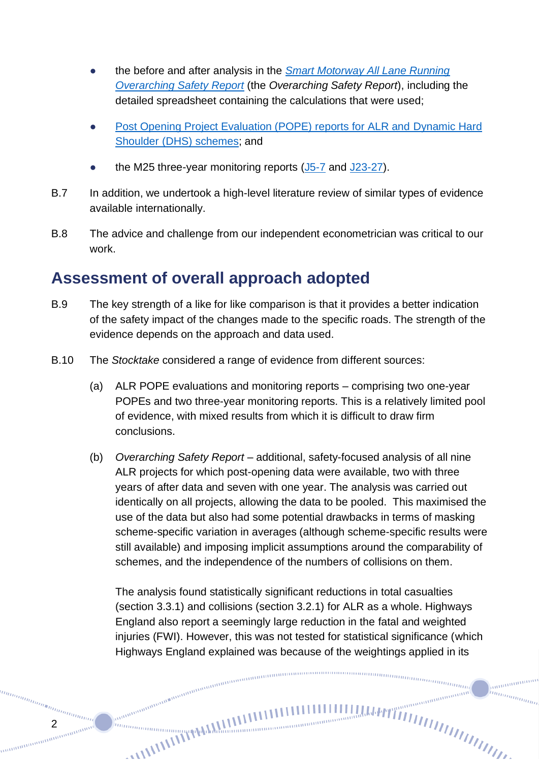- the before and after analysis in the *[Smart Motorway All Lane Running](https://www.gov.uk/government/publications/smart-motorway-all-lane-running-overarching-safety-report-2019)  [Overarching Safety Report](https://www.gov.uk/government/publications/smart-motorway-all-lane-running-overarching-safety-report-2019)* (the *Overarching Safety Report*), including the detailed spreadsheet containing the calculations that were used;
- [Post Opening Project Evaluation \(POPE\) reports for ALR and](https://www.gov.uk/government/collections/post-opening-project-evaluation-pope-of-major-schemes) Dynamic Hard Shoulder (DHS) [schemes;](https://www.gov.uk/government/collections/post-opening-project-evaluation-pope-of-major-schemes) and
- the M25 three-year monitoring reports  $(J5-7)$  $(J5-7)$  and  $J23-27$ .
- B.7 In addition, we undertook a high-level literature review of similar types of evidence available internationally.
- B.8 The advice and challenge from our independent econometrician was critical to our work.

# **Assessment of overall approach adopted**

2

anana

- B.9 The key strength of a like for like comparison is that it provides a better indication of the safety impact of the changes made to the specific roads. The strength of the evidence depends on the approach and data used.
- B.10 The *Stocktake* considered a range of evidence from different sources:

annon anno anno anno anno anno

- (a) ALR POPE evaluations and monitoring reports comprising two one-year POPEs and two three-year monitoring reports. This is a relatively limited pool of evidence, with mixed results from which it is difficult to draw firm conclusions.
- (b) *Overarching Safety Report*  additional, safety-focused analysis of all nine ALR projects for which post-opening data were available, two with three years of after data and seven with one year. The analysis was carried out identically on all projects, allowing the data to be pooled. This maximised the use of the data but also had some potential drawbacks in terms of masking scheme-specific variation in averages (although scheme-specific results were still available) and imposing implicit assumptions around the comparability of schemes, and the independence of the numbers of collisions on them.

The analysis found statistically significant reductions in total casualties (section 3.3.1) and collisions (section 3.2.1) for ALR as a whole. Highways England also report a seemingly large reduction in the fatal and weighted injuries (FWI). However, this was not tested for statistical significance (which Highways England explained was because of the weightings applied in its

nummunum (

anananan

um<sub>ummu</sub>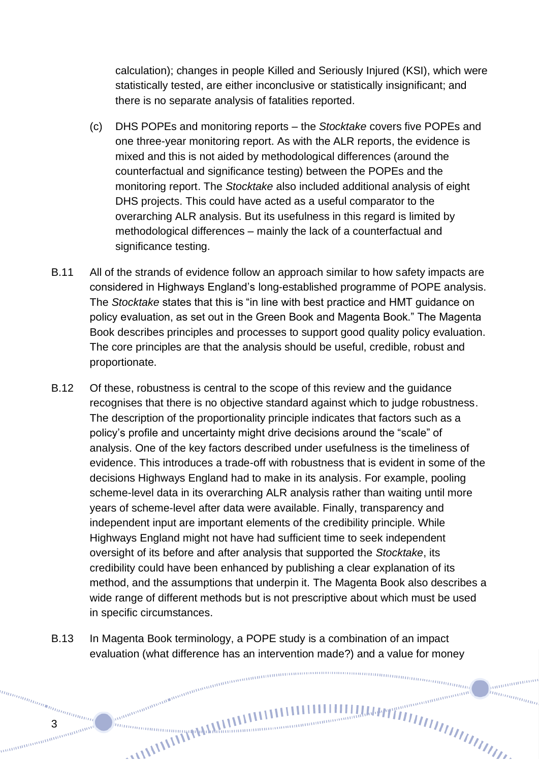calculation); changes in people Killed and Seriously Injured (KSI), which were statistically tested, are either inconclusive or statistically insignificant; and there is no separate analysis of fatalities reported.

- (c) DHS POPEs and monitoring reports the *Stocktake* covers five POPEs and one three-year monitoring report. As with the ALR reports, the evidence is mixed and this is not aided by methodological differences (around the counterfactual and significance testing) between the POPEs and the monitoring report. The *Stocktake* also included additional analysis of eight DHS projects. This could have acted as a useful comparator to the overarching ALR analysis. But its usefulness in this regard is limited by methodological differences – mainly the lack of a counterfactual and significance testing.
- B.11 All of the strands of evidence follow an approach similar to how safety impacts are considered in Highways England's long-established programme of POPE analysis. The *Stocktake* states that this is "in line with best practice and HMT guidance on policy evaluation, as set out in the Green Book and Magenta Book." The Magenta Book describes principles and processes to support good quality policy evaluation. The core principles are that the analysis should be useful, credible, robust and proportionate.
- B.12 Of these, robustness is central to the scope of this review and the guidance recognises that there is no objective standard against which to judge robustness. The description of the proportionality principle indicates that factors such as a policy's profile and uncertainty might drive decisions around the "scale" of analysis. One of the key factors described under usefulness is the timeliness of evidence. This introduces a trade-off with robustness that is evident in some of the decisions Highways England had to make in its analysis. For example, pooling scheme-level data in its overarching ALR analysis rather than waiting until more years of scheme-level after data were available. Finally, transparency and independent input are important elements of the credibility principle. While Highways England might not have had sufficient time to seek independent oversight of its before and after analysis that supported the *Stocktake*, its credibility could have been enhanced by publishing a clear explanation of its method, and the assumptions that underpin it. The Magenta Book also describes a wide range of different methods but is not prescriptive about which must be used in specific circumstances.
- B.13 In Magenta Book terminology, a POPE study is a combination of an impact evaluation (what difference has an intervention made?) and a value for money

 $min_{\substack{m\\ \ldots}}$ 

anananan inn<sub>innin</sub>

3

annan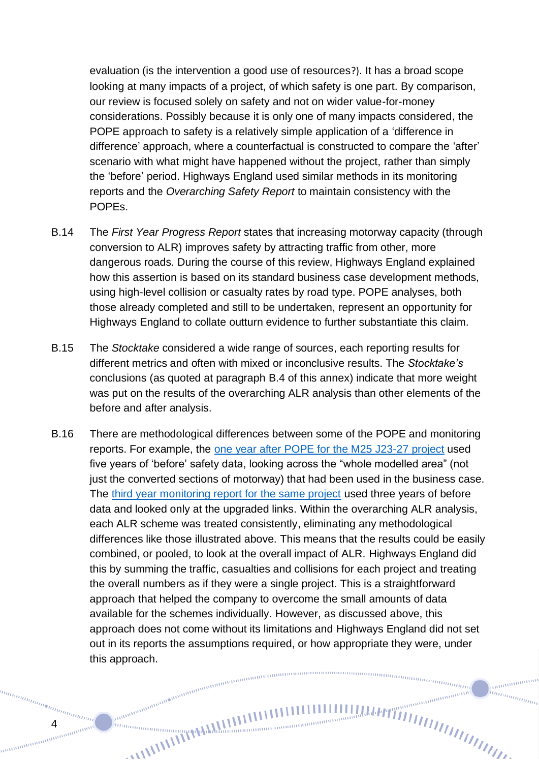evaluation (is the intervention a good use of resources?). It has a broad scope looking at many impacts of a project, of which safety is one part. By comparison, our review is focused solely on safety and not on wider value-for-money considerations. Possibly because it is only one of many impacts considered, the POPE approach to safety is a relatively simple application of a 'difference in difference' approach, where a counterfactual is constructed to compare the 'after' scenario with what might have happened without the project, rather than simply the 'before' period. Highways England used similar methods in its monitoring reports and the *Overarching Safety Report* to maintain consistency with the POPEs.

- B.14 The *First Year Progress Report* states that increasing motorway capacity (through conversion to ALR) improves safety by attracting traffic from other, more dangerous roads. During the course of this review, Highways England explained how this assertion is based on its standard business case development methods, using high-level collision or casualty rates by road type. POPE analyses, both those already completed and still to be undertaken, represent an opportunity for Highways England to collate outturn evidence to further substantiate this claim.
- B.15 The *Stocktake* considered a wide range of sources, each reporting results for different metrics and often with mixed or inconclusive results. The *Stocktake's* conclusions (as quoted at paragraph B.4 of this annex) indicate that more weight was put on the results of the overarching ALR analysis than other elements of the before and after analysis.
- B.16 There are methodological differences between some of the POPE and monitoring reports. For example, the [one year after POPE for the M25 J23-27 project](https://assets.publishing.service.gov.uk/government/uploads/system/uploads/attachment_data/file/872134/M25_J23_J27_POPE_OYA_with_foreword_FINAL_Jan_2020.pdf) used five years of 'before' safety data, looking across the "whole modelled area" (not just the converted sections of motorway) that had been used in the business case. The [third year monitoring report for the same project](https://assets.publishing.service.gov.uk/government/uploads/system/uploads/attachment_data/file/725599/M25_J23-27_SMALR_Monitoring_3_Year_Report_v2.0.pdf) used three years of before data and looked only at the upgraded links. Within the overarching ALR analysis, each ALR scheme was treated consistently, eliminating any methodological differences like those illustrated above. This means that the results could be easily combined, or pooled, to look at the overall impact of ALR. Highways England did this by summing the traffic, casualties and collisions for each project and treating the overall numbers as if they were a single project. This is a straightforward approach that helped the company to overcome the small amounts of data available for the schemes individually. However, as discussed above, this approach does not come without its limitations and Highways England did not set out in its reports the assumptions required, or how appropriate they were, under this approach.meningangangangangangangangang

annumum in<sub>nnmmm</sub>

4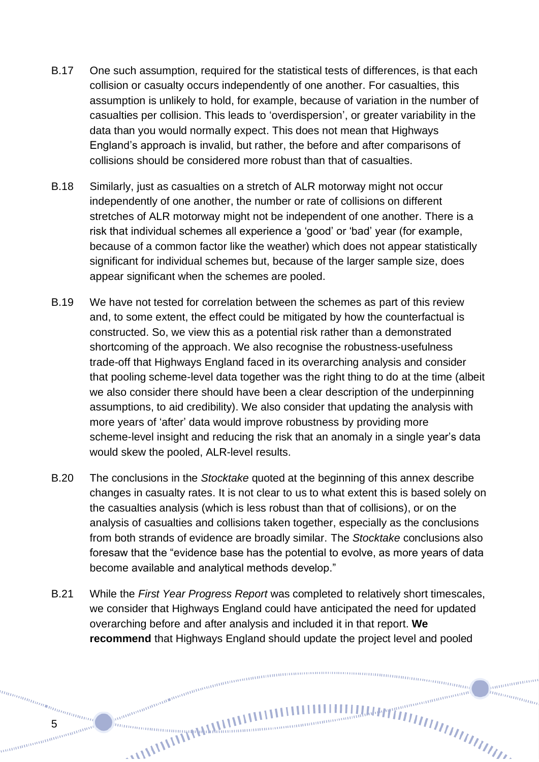- B.17 One such assumption, required for the statistical tests of differences, is that each collision or casualty occurs independently of one another. For casualties, this assumption is unlikely to hold, for example, because of variation in the number of casualties per collision. This leads to 'overdispersion', or greater variability in the data than you would normally expect. This does not mean that Highways England's approach is invalid, but rather, the before and after comparisons of collisions should be considered more robust than that of casualties.
- B.18 Similarly, just as casualties on a stretch of ALR motorway might not occur independently of one another, the number or rate of collisions on different stretches of ALR motorway might not be independent of one another. There is a risk that individual schemes all experience a 'good' or 'bad' year (for example, because of a common factor like the weather) which does not appear statistically significant for individual schemes but, because of the larger sample size, does appear significant when the schemes are pooled.
- B.19 We have not tested for correlation between the schemes as part of this review and, to some extent, the effect could be mitigated by how the counterfactual is constructed. So, we view this as a potential risk rather than a demonstrated shortcoming of the approach. We also recognise the robustness-usefulness trade-off that Highways England faced in its overarching analysis and consider that pooling scheme-level data together was the right thing to do at the time (albeit we also consider there should have been a clear description of the underpinning assumptions, to aid credibility). We also consider that updating the analysis with more years of 'after' data would improve robustness by providing more scheme-level insight and reducing the risk that an anomaly in a single year's data would skew the pooled, ALR-level results.
- B.20 The conclusions in the *Stocktake* quoted at the beginning of this annex describe changes in casualty rates. It is not clear to us to what extent this is based solely on the casualties analysis (which is less robust than that of collisions), or on the analysis of casualties and collisions taken together, especially as the conclusions from both strands of evidence are broadly similar. The *Stocktake* conclusions also foresaw that the "evidence base has the potential to evolve, as more years of data become available and analytical methods develop."
- B.21 While the *First Year Progress Report* was completed to relatively short timescales, we consider that Highways England could have anticipated the need for updated overarching before and after analysis and included it in that report. **We recommend** that Highways England should update the project level and pooled

annonomo hunggan d

5

manamana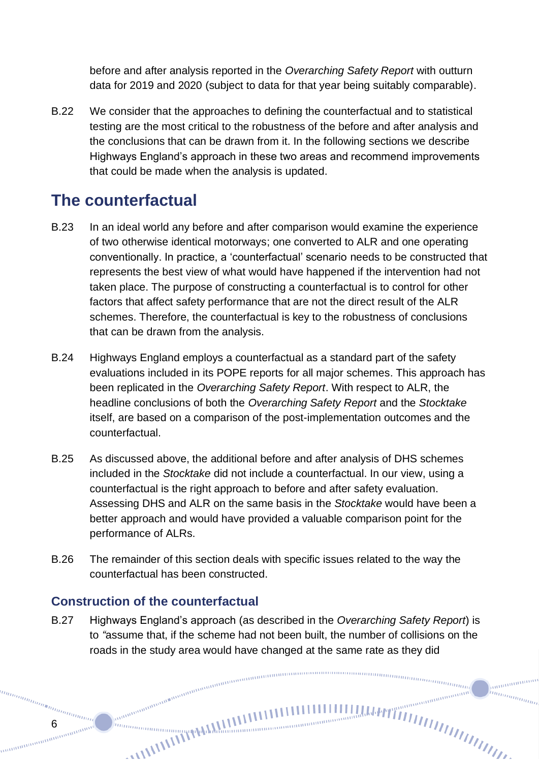before and after analysis reported in the *Overarching Safety Report* with outturn data for 2019 and 2020 (subject to data for that year being suitably comparable).

B.22 We consider that the approaches to defining the counterfactual and to statistical testing are the most critical to the robustness of the before and after analysis and the conclusions that can be drawn from it. In the following sections we describe Highways England's approach in these two areas and recommend improvements that could be made when the analysis is updated.

# **The counterfactual**

- B.23 In an ideal world any before and after comparison would examine the experience of two otherwise identical motorways; one converted to ALR and one operating conventionally. In practice, a 'counterfactual' scenario needs to be constructed that represents the best view of what would have happened if the intervention had not taken place. The purpose of constructing a counterfactual is to control for other factors that affect safety performance that are not the direct result of the ALR schemes. Therefore, the counterfactual is key to the robustness of conclusions that can be drawn from the analysis.
- B.24 Highways England employs a counterfactual as a standard part of the safety evaluations included in its POPE reports for all major schemes. This approach has been replicated in the *Overarching Safety Report*. With respect to ALR, the headline conclusions of both the *Overarching Safety Report* and the *Stocktake* itself, are based on a comparison of the post-implementation outcomes and the counterfactual.
- B.25 As discussed above, the additional before and after analysis of DHS schemes included in the *Stocktake* did not include a counterfactual. In our view, using a counterfactual is the right approach to before and after safety evaluation. Assessing DHS and ALR on the same basis in the *Stocktake* would have been a better approach and would have provided a valuable comparison point for the performance of ALRs.
- B.26 The remainder of this section deals with specific issues related to the way the counterfactual has been constructed.

### **Construction of the counterfactual**

anana

B.27 Highways England's approach (as described in the *Overarching Safety Report*) is to *"*assume that, if the scheme had not been built, the number of collisions on the roads in the study area would have changed at the same rate as they did

ummmmm

anananana in<sub>nnmmm</sub>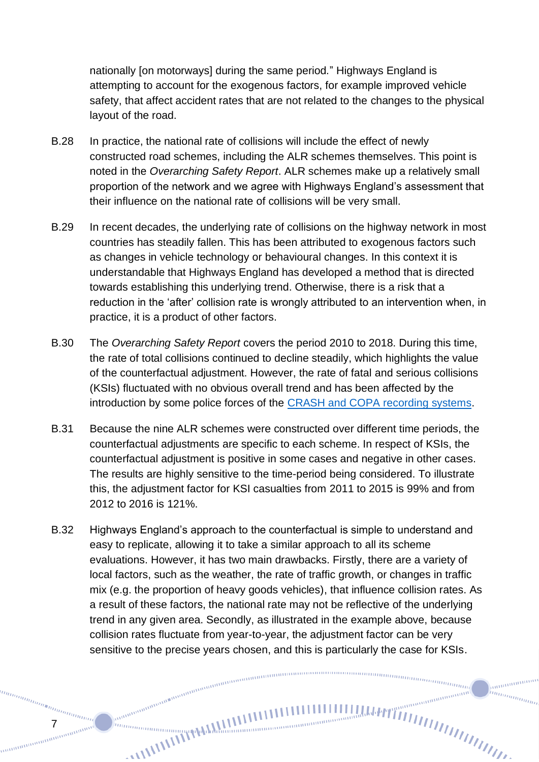nationally [on motorways] during the same period*.*" Highways England is attempting to account for the exogenous factors, for example improved vehicle safety, that affect accident rates that are not related to the changes to the physical layout of the road.

- B.28 In practice, the national rate of collisions will include the effect of newly constructed road schemes, including the ALR schemes themselves. This point is noted in the *Overarching Safety Report*. ALR schemes make up a relatively small proportion of the network and we agree with Highways England's assessment that their influence on the national rate of collisions will be very small.
- B.29 In recent decades, the underlying rate of collisions on the highway network in most countries has steadily fallen. This has been attributed to exogenous factors such as changes in vehicle technology or behavioural changes. In this context it is understandable that Highways England has developed a method that is directed towards establishing this underlying trend. Otherwise, there is a risk that a reduction in the 'after' collision rate is wrongly attributed to an intervention when, in practice, it is a product of other factors.
- B.30 The *Overarching Safety Report* covers the period 2010 to 2018. During this time, the rate of total collisions continued to decline steadily, which highlights the value of the counterfactual adjustment. However, the rate of fatal and serious collisions (KSIs) fluctuated with no obvious overall trend and has been affected by the introduction by some police forces of the [CRASH and COPA recording systems.](https://assets.publishing.service.gov.uk/government/uploads/system/uploads/attachment_data/file/922708/annex-update-severity-adjustments-methodology.pdf)
- B.31 Because the nine ALR schemes were constructed over different time periods, the counterfactual adjustments are specific to each scheme. In respect of KSIs, the counterfactual adjustment is positive in some cases and negative in other cases. The results are highly sensitive to the time-period being considered. To illustrate this, the adjustment factor for KSI casualties from 2011 to 2015 is 99% and from 2012 to 2016 is 121%.
- B.32 Highways England's approach to the counterfactual is simple to understand and easy to replicate, allowing it to take a similar approach to all its scheme evaluations. However, it has two main drawbacks. Firstly, there are a variety of local factors, such as the weather, the rate of traffic growth, or changes in traffic mix (e.g. the proportion of heavy goods vehicles), that influence collision rates. As a result of these factors, the national rate may not be reflective of the underlying trend in any given area. Secondly, as illustrated in the example above, because collision rates fluctuate from year-to-year, the adjustment factor can be very sensitive to the precise years chosen, and this is particularly the case for KSIs.

nummummu

anananana hunggan d

7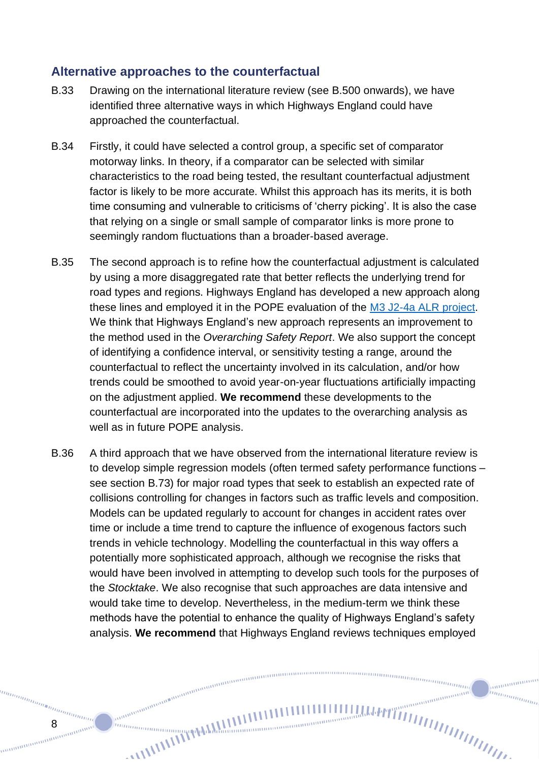### **Alternative approaches to the counterfactual**

- B.33 Drawing on the international literature review (see [B.500](#page-11-0) onwards), we have identified three alternative ways in which Highways England could have approached the counterfactual.
- B.34 Firstly, it could have selected a control group, a specific set of comparator motorway links. In theory, if a comparator can be selected with similar characteristics to the road being tested, the resultant counterfactual adjustment factor is likely to be more accurate. Whilst this approach has its merits, it is both time consuming and vulnerable to criticisms of 'cherry picking'. It is also the case that relying on a single or small sample of comparator links is more prone to seemingly random fluctuations than a broader-based average.
- B.35 The second approach is to refine how the counterfactual adjustment is calculated by using a more disaggregated rate that better reflects the underlying trend for road types and regions. Highways England has developed a new approach along these lines and employed it in the POPE evaluation of the [M3 J2-4a ALR project.](https://highwaysengland.co.uk/media/uz5bnzsf/m3-junctions-2-to-4a-all-lane-running-one-year-post-opening-project-evaluation.pdf) We think that Highways England's new approach represents an improvement to the method used in the *Overarching Safety Report*. We also support the concept of identifying a confidence interval, or sensitivity testing a range, around the counterfactual to reflect the uncertainty involved in its calculation, and/or how trends could be smoothed to avoid year-on-year fluctuations artificially impacting on the adjustment applied. **We recommend** these developments to the counterfactual are incorporated into the updates to the overarching analysis as well as in future POPE analysis.
- B.36 A third approach that we have observed from the international literature review is to develop simple regression models (often termed safety performance functions – see section B.73) for major road types that seek to establish an expected rate of collisions controlling for changes in factors such as traffic levels and composition. Models can be updated regularly to account for changes in accident rates over time or include a time trend to capture the influence of exogenous factors such trends in vehicle technology. Modelling the counterfactual in this way offers a potentially more sophisticated approach, although we recognise the risks that would have been involved in attempting to develop such tools for the purposes of the *Stocktake*. We also recognise that such approaches are data intensive and would take time to develop. Nevertheless, in the medium-term we think these methods have the potential to enhance the quality of Highways England's safety analysis. **We recommend** that Highways England reviews techniques employed

 $\frac{m n_{\text{min}}}{\sqrt{m}}$ 

anananana inn<sub>innin</sub>

8

annan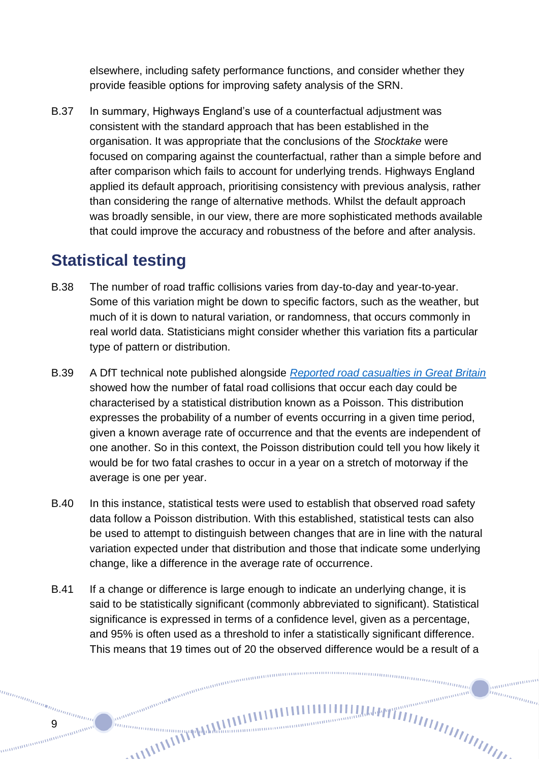elsewhere, including safety performance functions, and consider whether they provide feasible options for improving safety analysis of the SRN.

B.37 In summary, Highways England's use of a counterfactual adjustment was consistent with the standard approach that has been established in the organisation. It was appropriate that the conclusions of the *Stocktake* were focused on comparing against the counterfactual, rather than a simple before and after comparison which fails to account for underlying trends. Highways England applied its default approach, prioritising consistency with previous analysis, rather than considering the range of alternative methods. Whilst the default approach was broadly sensible, in our view, there are more sophisticated methods available that could improve the accuracy and robustness of the before and after analysis.

# **Statistical testing**

- B.38 The number of road traffic collisions varies from day-to-day and year-to-year. Some of this variation might be down to specific factors, such as the weather, but much of it is down to natural variation, or randomness, that occurs commonly in real world data. Statisticians might consider whether this variation fits a particular type of pattern or distribution.
- B.39 A DfT technical note published alongside *[Reported road casualties in Great Britain](https://assets.publishing.service.gov.uk/government/uploads/system/uploads/attachment_data/file/437785/Testing_for_statistically_significant_changes.pdf)* showed how the number of fatal road collisions that occur each day could be characterised by a statistical distribution known as a Poisson. This distribution expresses the probability of a number of events occurring in a given time period, given a known average rate of occurrence and that the events are independent of one another. So in this context, the Poisson distribution could tell you how likely it would be for two fatal crashes to occur in a year on a stretch of motorway if the average is one per year.
- B.40 In this instance, statistical tests were used to establish that observed road safety data follow a Poisson distribution. With this established, statistical tests can also be used to attempt to distinguish between changes that are in line with the natural variation expected under that distribution and those that indicate some underlying change, like a difference in the average rate of occurrence.
- B.41 If a change or difference is large enough to indicate an underlying change, it is said to be statistically significant (commonly abbreviated to significant). Statistical significance is expressed in terms of a confidence level, given as a percentage, and 95% is often used as a threshold to infer a statistically significant difference. This means that 19 times out of 20 the observed difference would be a result of a

 $m n_{\rm 100mmpc}$ 

annonomo hunggan d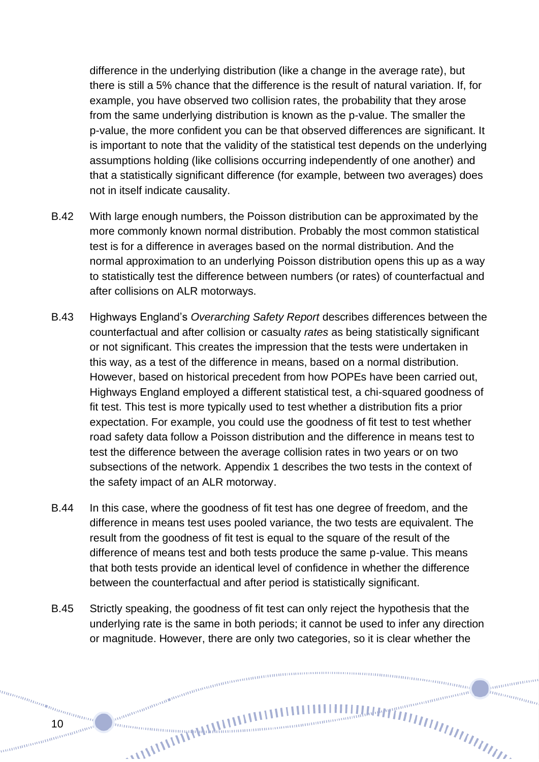difference in the underlying distribution (like a change in the average rate), but there is still a 5% chance that the difference is the result of natural variation. If, for example, you have observed two collision rates, the probability that they arose from the same underlying distribution is known as the p-value. The smaller the p-value, the more confident you can be that observed differences are significant. It is important to note that the validity of the statistical test depends on the underlying assumptions holding (like collisions occurring independently of one another) and that a statistically significant difference (for example, between two averages) does not in itself indicate causality.

- B.42 With large enough numbers, the Poisson distribution can be approximated by the more commonly known normal distribution. Probably the most common statistical test is for a difference in averages based on the normal distribution. And the normal approximation to an underlying Poisson distribution opens this up as a way to statistically test the difference between numbers (or rates) of counterfactual and after collisions on ALR motorways.
- B.43 Highways England's *Overarching Safety Report* describes differences between the counterfactual and after collision or casualty *rates* as being statistically significant or not significant. This creates the impression that the tests were undertaken in this way, as a test of the difference in means, based on a normal distribution. However, based on historical precedent from how POPEs have been carried out, Highways England employed a different statistical test, a chi-squared goodness of fit test. This test is more typically used to test whether a distribution fits a prior expectation. For example, you could use the goodness of fit test to test whether road safety data follow a Poisson distribution and the difference in means test to test the difference between the average collision rates in two years or on two subsections of the network. Appendix 1 describes the two tests in the context of the safety impact of an ALR motorway.
- B.44 In this case, where the goodness of fit test has one degree of freedom, and the difference in means test uses pooled variance, the two tests are equivalent. The result from the goodness of fit test is equal to the square of the result of the difference of means test and both tests produce the same p-value. This means that both tests provide an identical level of confidence in whether the difference between the counterfactual and after period is statistically significant.
- B.45 Strictly speaking, the goodness of fit test can only reject the hypothesis that the underlying rate is the same in both periods; it cannot be used to infer any direction or magnitude. However, there are only two categories, so it is clear whether the

 $\frac{m n_{\text{min}}}{\sqrt{m}}$ 

anananana nomunique de la comunique de la comunique de la comunique de la comunique de la comunique de la comunique de la comunique de la comunique de la comunique de la comunique de la comunique de la comunique de la comunique de l

10

manamana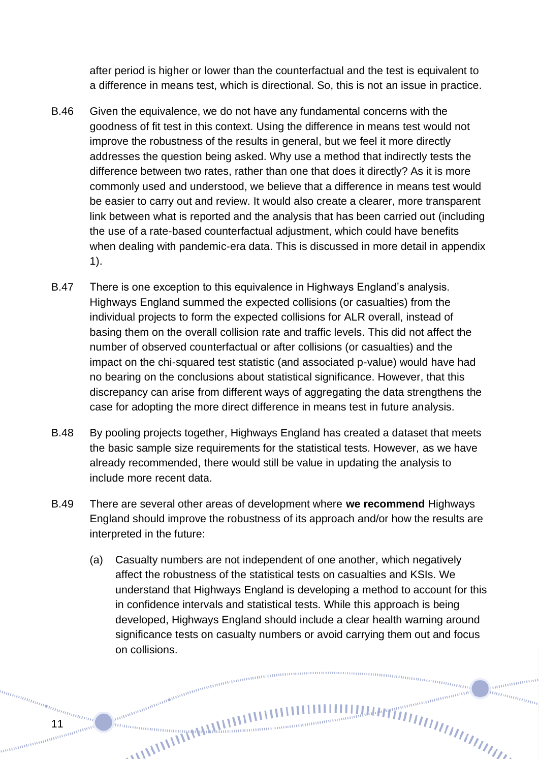after period is higher or lower than the counterfactual and the test is equivalent to a difference in means test, which is directional. So, this is not an issue in practice.

- B.46 Given the equivalence, we do not have any fundamental concerns with the goodness of fit test in this context. Using the difference in means test would not improve the robustness of the results in general, but we feel it more directly addresses the question being asked. Why use a method that indirectly tests the difference between two rates, rather than one that does it directly? As it is more commonly used and understood, we believe that a difference in means test would be easier to carry out and review. It would also create a clearer, more transparent link between what is reported and the analysis that has been carried out (including the use of a rate-based counterfactual adjustment, which could have benefits when dealing with pandemic-era data. This is discussed in more detail in appendix 1).
- B.47 There is one exception to this equivalence in Highways England's analysis. Highways England summed the expected collisions (or casualties) from the individual projects to form the expected collisions for ALR overall, instead of basing them on the overall collision rate and traffic levels. This did not affect the number of observed counterfactual or after collisions (or casualties) and the impact on the chi-squared test statistic (and associated p-value) would have had no bearing on the conclusions about statistical significance. However, that this discrepancy can arise from different ways of aggregating the data strengthens the case for adopting the more direct difference in means test in future analysis.
- B.48 By pooling projects together, Highways England has created a dataset that meets the basic sample size requirements for the statistical tests. However, as we have already recommended, there would still be value in updating the analysis to include more recent data.
- B.49 There are several other areas of development where **we recommend** Highways England should improve the robustness of its approach and/or how the results are interpreted in the future:

annon annon annon annon annon annon anno

(a) Casualty numbers are not independent of one another, which negatively affect the robustness of the statistical tests on casualties and KSIs. We understand that Highways England is developing a method to account for this in confidence intervals and statistical tests. While this approach is being developed, Highways England should include a clear health warning around significance tests on casualty numbers or avoid carrying them out and focus on collisions.

 $\frac{m n_{\text{min}}}{\sqrt{m}}$ 

anananana

hunggan d

11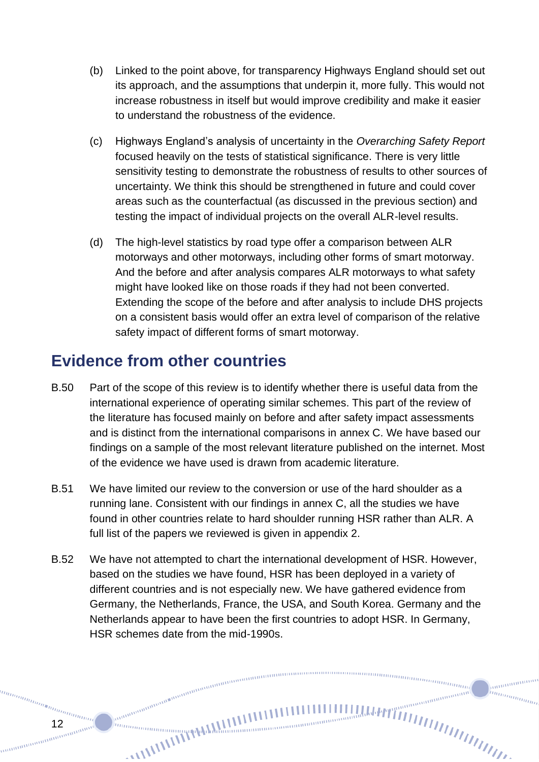- (b) Linked to the point above, for transparency Highways England should set out its approach, and the assumptions that underpin it, more fully. This would not increase robustness in itself but would improve credibility and make it easier to understand the robustness of the evidence.
- (c) Highways England's analysis of uncertainty in the *Overarching Safety Report*  focused heavily on the tests of statistical significance. There is very little sensitivity testing to demonstrate the robustness of results to other sources of uncertainty. We think this should be strengthened in future and could cover areas such as the counterfactual (as discussed in the previous section) and testing the impact of individual projects on the overall ALR-level results.
- (d) The high-level statistics by road type offer a comparison between ALR motorways and other motorways, including other forms of smart motorway. And the before and after analysis compares ALR motorways to what safety might have looked like on those roads if they had not been converted. Extending the scope of the before and after analysis to include DHS projects on a consistent basis would offer an extra level of comparison of the relative safety impact of different forms of smart motorway.

# **Evidence from other countries**

- <span id="page-11-0"></span>B.50 Part of the scope of this review is to identify whether there is useful data from the international experience of operating similar schemes. This part of the review of the literature has focused mainly on before and after safety impact assessments and is distinct from the international comparisons in annex C. We have based our findings on a sample of the most relevant literature published on the internet. Most of the evidence we have used is drawn from academic literature.
- B.51 We have limited our review to the conversion or use of the hard shoulder as a running lane. Consistent with our findings in annex C, all the studies we have found in other countries relate to hard shoulder running HSR rather than ALR. A full list of the papers we reviewed is given in appendix 2.
- B.52 We have not attempted to chart the international development of HSR. However, based on the studies we have found, HSR has been deployed in a variety of different countries and is not especially new. We have gathered evidence from Germany, the Netherlands, France, the USA, and South Korea. Germany and the Netherlands appear to have been the first countries to adopt HSR. In Germany, HSR schemes date from the mid-1990s.

nunnung<br><sup>nunnung</sup>

annonomo inn<sub>innin</sub>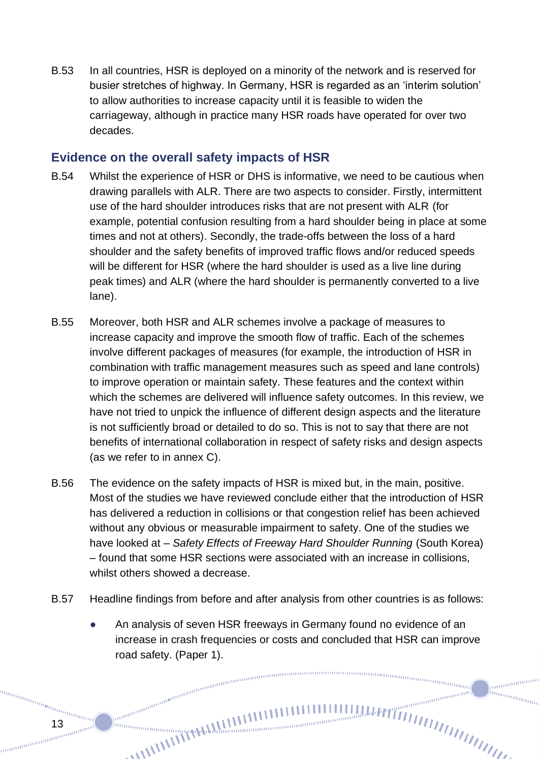B.53 In all countries, HSR is deployed on a minority of the network and is reserved for busier stretches of highway. In Germany, HSR is regarded as an 'interim solution' to allow authorities to increase capacity until it is feasible to widen the carriageway, although in practice many HSR roads have operated for over two decades.

### **Evidence on the overall safety impacts of HSR**

- B.54 Whilst the experience of HSR or DHS is informative, we need to be cautious when drawing parallels with ALR. There are two aspects to consider. Firstly, intermittent use of the hard shoulder introduces risks that are not present with ALR (for example, potential confusion resulting from a hard shoulder being in place at some times and not at others). Secondly, the trade-offs between the loss of a hard shoulder and the safety benefits of improved traffic flows and/or reduced speeds will be different for HSR (where the hard shoulder is used as a live line during peak times) and ALR (where the hard shoulder is permanently converted to a live lane).
- B.55 Moreover, both HSR and ALR schemes involve a package of measures to increase capacity and improve the smooth flow of traffic. Each of the schemes involve different packages of measures (for example, the introduction of HSR in combination with traffic management measures such as speed and lane controls) to improve operation or maintain safety. These features and the context within which the schemes are delivered will influence safety outcomes. In this review, we have not tried to unpick the influence of different design aspects and the literature is not sufficiently broad or detailed to do so. This is not to say that there are not benefits of international collaboration in respect of safety risks and design aspects (as we refer to in annex C).
- B.56 The evidence on the safety impacts of HSR is mixed but, in the main, positive. Most of the studies we have reviewed conclude either that the introduction of HSR has delivered a reduction in collisions or that congestion relief has been achieved without any obvious or measurable impairment to safety. One of the studies we have looked at – *Safety Effects of Freeway Hard Shoulder Running* (South Korea) – found that some HSR sections were associated with an increase in collisions, whilst others showed a decrease.
- B.57 Headline findings from before and after analysis from other countries is as follows:

An analysis of seven HSR freeways in Germany found no evidence of an increase in crash frequencies or costs and concluded that HSR can improve road safety. (Paper 1).<br>
<sub>consummumumumumumumumumumumumumumumum</sub>

 $\frac{m n_{\text{min}}}{\sqrt{m}}$ 

ammanan

humanan

13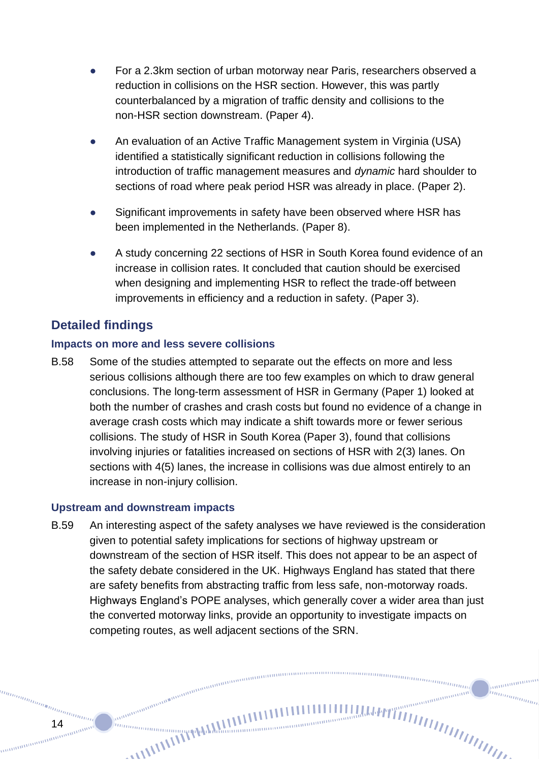- For a 2.3km section of urban motorway near Paris, researchers observed a reduction in collisions on the HSR section. However, this was partly counterbalanced by a migration of traffic density and collisions to the non-HSR section downstream. (Paper 4).
- An evaluation of an Active Traffic Management system in Virginia (USA) identified a statistically significant reduction in collisions following the introduction of traffic management measures and *dynamic* hard shoulder to sections of road where peak period HSR was already in place. (Paper 2).
- Significant improvements in safety have been observed where HSR has been implemented in the Netherlands. (Paper 8).
- A study concerning 22 sections of HSR in South Korea found evidence of an increase in collision rates. It concluded that caution should be exercised when designing and implementing HSR to reflect the trade-off between improvements in efficiency and a reduction in safety. (Paper 3).

### **Detailed findings**

#### **Impacts on more and less severe collisions**

B.58 Some of the studies attempted to separate out the effects on more and less serious collisions although there are too few examples on which to draw general conclusions. The long-term assessment of HSR in Germany (Paper 1) looked at both the number of crashes and crash costs but found no evidence of a change in average crash costs which may indicate a shift towards more or fewer serious collisions. The study of HSR in South Korea (Paper 3), found that collisions involving injuries or fatalities increased on sections of HSR with 2(3) lanes. On sections with 4(5) lanes, the increase in collisions was due almost entirely to an increase in non-injury collision.

#### **Upstream and downstream impacts**

annan

B.59 An interesting aspect of the safety analyses we have reviewed is the consideration given to potential safety implications for sections of highway upstream or downstream of the section of HSR itself. This does not appear to be an aspect of the safety debate considered in the UK. Highways England has stated that there are safety benefits from abstracting traffic from less safe, non-motorway roads. Highways England's POPE analyses, which generally cover a wider area than just the converted motorway links, provide an opportunity to investigate impacts on competing routes, as well adjacent sections of the SRN.

nunnung<br><sup>nunnung</sup>

annonom in<sub>nnmmm</sub>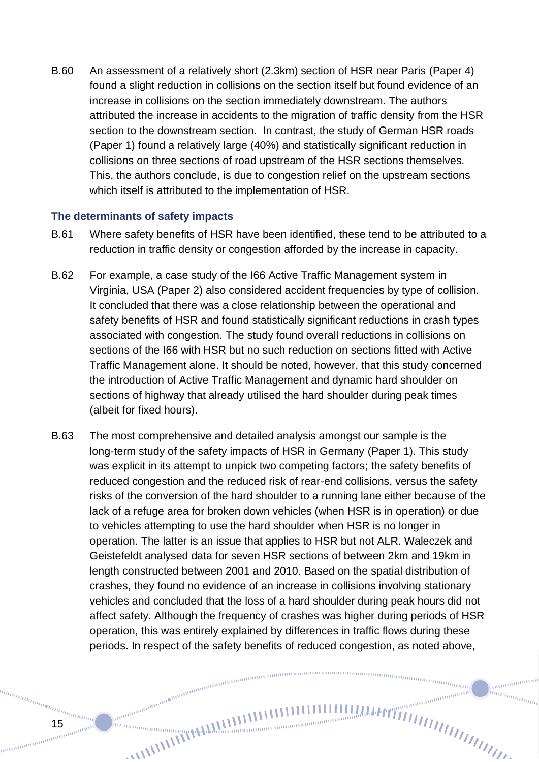B.60 An assessment of a relatively short (2.3km) section of HSR near Paris (Paper 4) found a slight reduction in collisions on the section itself but found evidence of an increase in collisions on the section immediately downstream. The authors attributed the increase in accidents to the migration of traffic density from the HSR section to the downstream section. In contrast, the study of German HSR roads (Paper 1) found a relatively large (40%) and statistically significant reduction in collisions on three sections of road upstream of the HSR sections themselves. This, the authors conclude, is due to congestion relief on the upstream sections which itself is attributed to the implementation of HSR.

#### **The determinants of safety impacts**

- B.61 Where safety benefits of HSR have been identified, these tend to be attributed to a reduction in traffic density or congestion afforded by the increase in capacity.
- B.62 For example, a case study of the I66 Active Traffic Management system in Virginia, USA (Paper 2) also considered accident frequencies by type of collision. It concluded that there was a close relationship between the operational and safety benefits of HSR and found statistically significant reductions in crash types associated with congestion. The study found overall reductions in collisions on sections of the I66 with HSR but no such reduction on sections fitted with Active Traffic Management alone. It should be noted, however, that this study concerned the introduction of Active Traffic Management and dynamic hard shoulder on sections of highway that already utilised the hard shoulder during peak times (albeit for fixed hours).
- B.63 The most comprehensive and detailed analysis amongst our sample is the long-term study of the safety impacts of HSR in Germany (Paper 1). This study was explicit in its attempt to unpick two competing factors; the safety benefits of reduced congestion and the reduced risk of rear-end collisions, versus the safety risks of the conversion of the hard shoulder to a running lane either because of the lack of a refuge area for broken down vehicles (when HSR is in operation) or due to vehicles attempting to use the hard shoulder when HSR is no longer in operation. The latter is an issue that applies to HSR but not ALR. Waleczek and Geistefeldt analysed data for seven HSR sections of between 2km and 19km in length constructed between 2001 and 2010. Based on the spatial distribution of crashes, they found no evidence of an increase in collisions involving stationary vehicles and concluded that the loss of a hard shoulder during peak hours did not affect safety. Although the frequency of crashes was higher during periods of HSR operation, this was entirely explained by differences in traffic flows during these periods. In respect of the safety benefits of reduced congestion, as noted above,

 $m n_{\rm 100mmpc}$ 

anananana

hunggan d

anning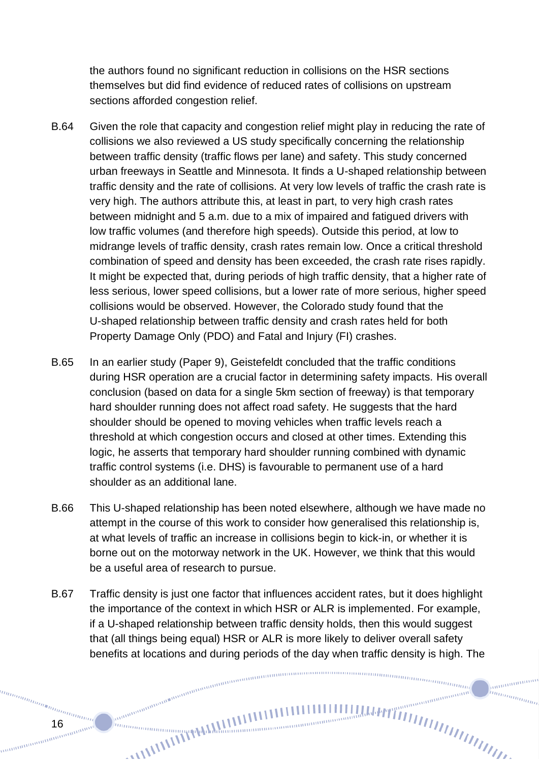the authors found no significant reduction in collisions on the HSR sections themselves but did find evidence of reduced rates of collisions on upstream sections afforded congestion relief.

- B.64 Given the role that capacity and congestion relief might play in reducing the rate of collisions we also reviewed a US study specifically concerning the relationship between traffic density (traffic flows per lane) and safety. This study concerned urban freeways in Seattle and Minnesota. It finds a U-shaped relationship between traffic density and the rate of collisions. At very low levels of traffic the crash rate is very high. The authors attribute this, at least in part, to very high crash rates between midnight and 5 a.m. due to a mix of impaired and fatigued drivers with low traffic volumes (and therefore high speeds). Outside this period, at low to midrange levels of traffic density, crash rates remain low. Once a critical threshold combination of speed and density has been exceeded, the crash rate rises rapidly. It might be expected that, during periods of high traffic density, that a higher rate of less serious, lower speed collisions, but a lower rate of more serious, higher speed collisions would be observed. However, the Colorado study found that the U-shaped relationship between traffic density and crash rates held for both Property Damage Only (PDO) and Fatal and Injury (FI) crashes.
- B.65 In an earlier study (Paper 9), Geistefeldt concluded that the traffic conditions during HSR operation are a crucial factor in determining safety impacts. His overall conclusion (based on data for a single 5km section of freeway) is that temporary hard shoulder running does not affect road safety. He suggests that the hard shoulder should be opened to moving vehicles when traffic levels reach a threshold at which congestion occurs and closed at other times. Extending this logic, he asserts that temporary hard shoulder running combined with dynamic traffic control systems (i.e. DHS) is favourable to permanent use of a hard shoulder as an additional lane.
- B.66 This U-shaped relationship has been noted elsewhere, although we have made no attempt in the course of this work to consider how generalised this relationship is, at what levels of traffic an increase in collisions begin to kick-in, or whether it is borne out on the motorway network in the UK. However, we think that this would be a useful area of research to pursue.
- B.67 Traffic density is just one factor that influences accident rates, but it does highlight the importance of the context in which HSR or ALR is implemented. For example, if a U-shaped relationship between traffic density holds, then this would suggest that (all things being equal) HSR or ALR is more likely to deliver overall safety benefits at locations and during periods of the day when traffic density is high. The  $-$

 $m n_{\rm 100mmpc}$ 

anananana hunggan d

anning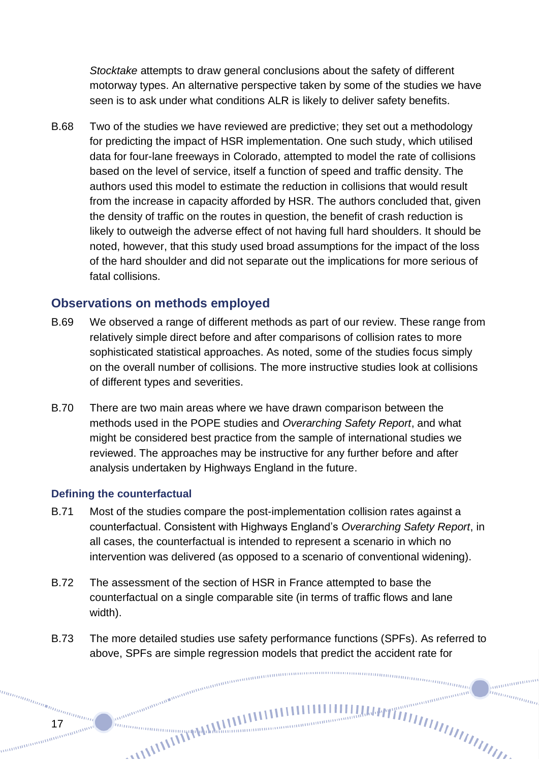*Stocktake* attempts to draw general conclusions about the safety of different motorway types. An alternative perspective taken by some of the studies we have seen is to ask under what conditions ALR is likely to deliver safety benefits.

B.68 Two of the studies we have reviewed are predictive; they set out a methodology for predicting the impact of HSR implementation. One such study, which utilised data for four-lane freeways in Colorado, attempted to model the rate of collisions based on the level of service, itself a function of speed and traffic density. The authors used this model to estimate the reduction in collisions that would result from the increase in capacity afforded by HSR. The authors concluded that, given the density of traffic on the routes in question, the benefit of crash reduction is likely to outweigh the adverse effect of not having full hard shoulders. It should be noted, however, that this study used broad assumptions for the impact of the loss of the hard shoulder and did not separate out the implications for more serious of fatal collisions.

### **Observations on methods employed**

- B.69 We observed a range of different methods as part of our review. These range from relatively simple direct before and after comparisons of collision rates to more sophisticated statistical approaches. As noted, some of the studies focus simply on the overall number of collisions. The more instructive studies look at collisions of different types and severities.
- B.70 There are two main areas where we have drawn comparison between the methods used in the POPE studies and *Overarching Safety Report*, and what might be considered best practice from the sample of international studies we reviewed. The approaches may be instructive for any further before and after analysis undertaken by Highways England in the future.

#### **Defining the counterfactual**

anana

17

- B.71 Most of the studies compare the post-implementation collision rates against a counterfactual. Consistent with Highways England's *Overarching Safety Report*, in all cases, the counterfactual is intended to represent a scenario in which no intervention was delivered (as opposed to a scenario of conventional widening).
- B.72 The assessment of the section of HSR in France attempted to base the counterfactual on a single comparable site (in terms of traffic flows and lane width).
- B.73 The more detailed studies use safety performance functions (SPFs). As referred to above, SPFs are simple regression models that predict the accident rate for

 $\frac{m n_{\text{min}}}{\sqrt{m}}$ 

ammanan

in<sub>nnmmm</sub>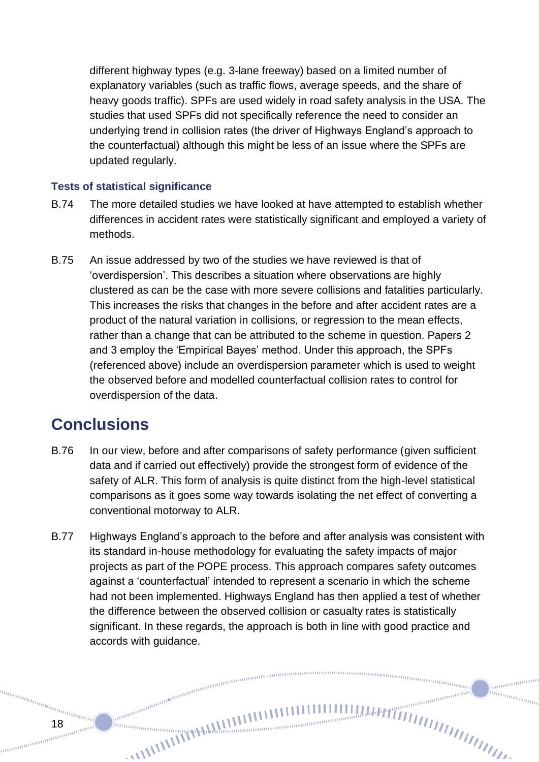different highway types (e.g. 3-lane freeway) based on a limited number of explanatory variables (such as traffic flows, average speeds, and the share of heavy goods traffic). SPFs are used widely in road safety analysis in the USA. The studies that used SPFs did not specifically reference the need to consider an underlying trend in collision rates (the driver of Highways England's approach to the counterfactual) although this might be less of an issue where the SPFs are updated regularly.

### **Tests of statistical significance**

- B.74 The more detailed studies we have looked at have attempted to establish whether differences in accident rates were statistically significant and employed a variety of methods.
- B.75 An issue addressed by two of the studies we have reviewed is that of 'overdispersion'. This describes a situation where observations are highly clustered as can be the case with more severe collisions and fatalities particularly. This increases the risks that changes in the before and after accident rates are a product of the natural variation in collisions, or regression to the mean effects, rather than a change that can be attributed to the scheme in question. Papers 2 and 3 employ the 'Empirical Bayes' method. Under this approach, the SPFs (referenced above) include an overdispersion parameter which is used to weight the observed before and modelled counterfactual collision rates to control for overdispersion of the data.

# **Conclusions**

- B.76 In our view, before and after comparisons of safety performance (given sufficient data and if carried out effectively) provide the strongest form of evidence of the safety of ALR. This form of analysis is quite distinct from the high-level statistical comparisons as it goes some way towards isolating the net effect of converting a conventional motorway to ALR.
- B.77 Highways England's approach to the before and after analysis was consistent with its standard in-house methodology for evaluating the safety impacts of major projects as part of the POPE process. This approach compares safety outcomes against a 'counterfactual' intended to represent a scenario in which the scheme had not been implemented. Highways England has then applied a test of whether the difference between the observed collision or casualty rates is statistically significant. In these regards, the approach is both in line with good practice and accords with guidance.

nunnung<br><sup>nunnung</sup>

ammanan hunggan d

annan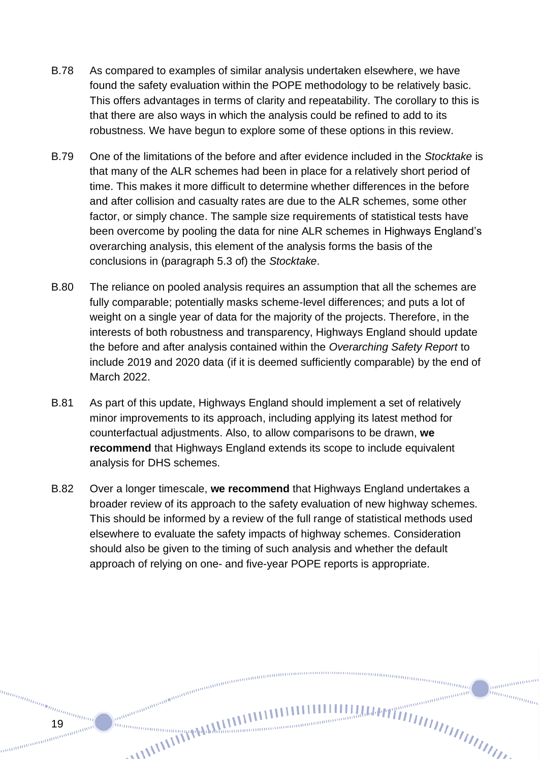- B.78 As compared to examples of similar analysis undertaken elsewhere, we have found the safety evaluation within the POPE methodology to be relatively basic. This offers advantages in terms of clarity and repeatability. The corollary to this is that there are also ways in which the analysis could be refined to add to its robustness. We have begun to explore some of these options in this review.
- B.79 One of the limitations of the before and after evidence included in the *Stocktake* is that many of the ALR schemes had been in place for a relatively short period of time. This makes it more difficult to determine whether differences in the before and after collision and casualty rates are due to the ALR schemes, some other factor, or simply chance. The sample size requirements of statistical tests have been overcome by pooling the data for nine ALR schemes in Highways England's overarching analysis, this element of the analysis forms the basis of the conclusions in (paragraph 5.3 of) the *Stocktake*.
- B.80 The reliance on pooled analysis requires an assumption that all the schemes are fully comparable; potentially masks scheme-level differences; and puts a lot of weight on a single year of data for the majority of the projects. Therefore, in the interests of both robustness and transparency, Highways England should update the before and after analysis contained within the *Overarching Safety Report* to include 2019 and 2020 data (if it is deemed sufficiently comparable) by the end of March 2022.
- B.81 As part of this update, Highways England should implement a set of relatively minor improvements to its approach, including applying its latest method for counterfactual adjustments. Also, to allow comparisons to be drawn, **we recommend** that Highways England extends its scope to include equivalent analysis for DHS schemes.
- B.82 Over a longer timescale, **we recommend** that Highways England undertakes a broader review of its approach to the safety evaluation of new highway schemes. This should be informed by a review of the full range of statistical methods used elsewhere to evaluate the safety impacts of highway schemes. Consideration should also be given to the timing of such analysis and whether the default approach of relying on one- and five-year POPE reports is appropriate.

nummumul

annonom in<sub>nnmmm</sub>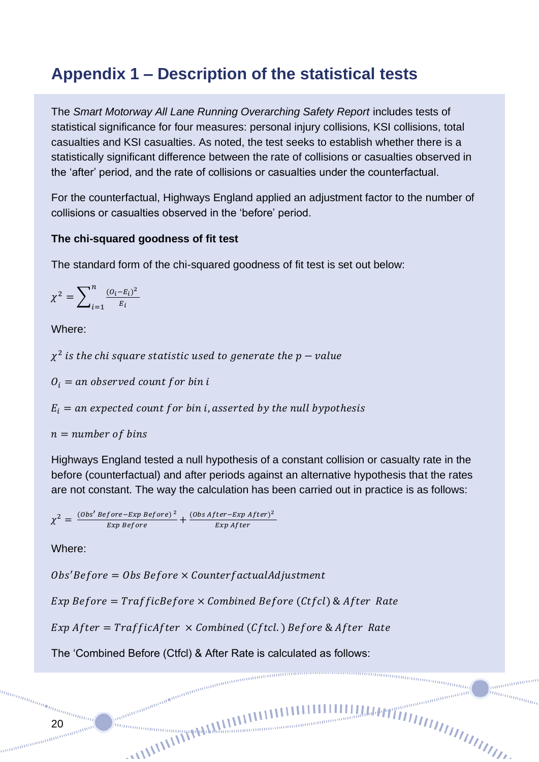# **Appendix 1 – Description of the statistical tests**

The *Smart Motorway All Lane Running Overarching Safety Report* includes tests of statistical significance for four measures: personal injury collisions, KSI collisions, total casualties and KSI casualties. As noted, the test seeks to establish whether there is a statistically significant difference between the rate of collisions or casualties observed in the 'after' period, and the rate of collisions or casualties under the counterfactual.

For the counterfactual, Highways England applied an adjustment factor to the number of collisions or casualties observed in the 'before' period.

#### **The chi-squared goodness of fit test**

The standard form of the chi-squared goodness of fit test is set out below:

$$
\chi^{2} = \sum_{i=1}^{n} \frac{(O_{i} - E_{i})^{2}}{E_{i}}
$$

Where:

 $\chi^2$  is the chi square statistic used to generate the p – value

 $O_i =$  an observed count for bin i

 $E_i =$  an expected count for bin i, asserted by the null bypothesis

 $n = number of bins$ 

Highways England tested a null hypothesis of a constant collision or casualty rate in the before (counterfactual) and after periods against an alternative hypothesis that the rates are not constant. The way the calculation has been carried out in practice is as follows:

 $\frac{m n_{\text{min}}}{\sqrt{m}}$ 

anan

 $\chi^2 = \frac{(Obs' \text{Before} - Exp \text{ Before})^2}{Em \text{Define}}$  $\frac{fore-Exp\ Before)^2}{Exp\ Before} + \frac{(Obs\ After-Exp\ After)^2}{Exp\ After}$ Exp After

Where:

 $Obs'Before = Obs Before \times CounterfactualAdjustment$ 

Exp Before =  $TrafficBefore \times Combined Before (Ctfcl) \& After Rate$ 

 $Exp$  After = TrafficAfter  $\times$  Combined (Cftcl.) Before & After Rate

The 'Combined Before (Ctfcl) & After Rate is calculated as follows:

an an amammana an amammana an amammana an amammana an amammana an amammana an amammana an amammana an amammana<br>Le compara an amammana an amammana an amammana an amammana an amammana an amammana an amammana an amammana an

anamanamang 20<br><sup>20</sup>manamanaman<br><sup>20manamanamanamanaman</sup>

anns

un<sub>inning</sub> and <sup>uning</sup>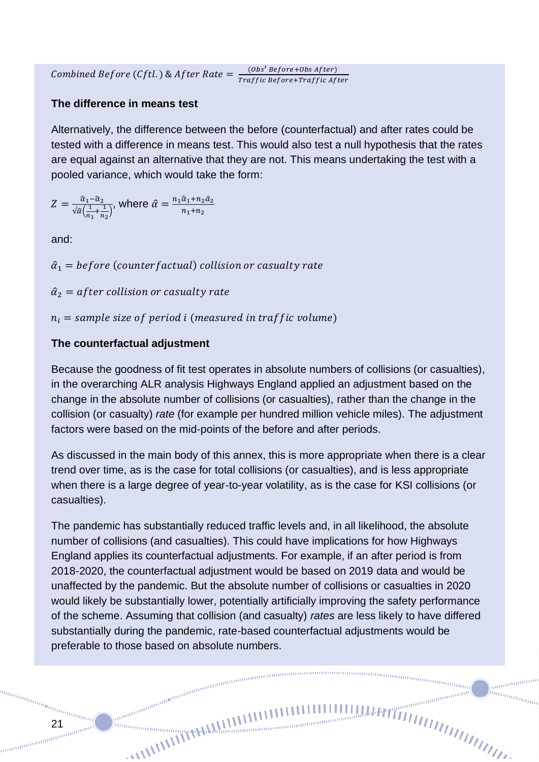Combined Before (Cftl.) & After Rate  $=$   $\frac{(Obs's_{Before}+Obs After)}{Traffia_{B}fcm \cdot Traffia_{A}f}$ Traffic Before+Traffic After

#### **The difference in means test**

Alternatively, the difference between the before (counterfactual) and after rates could be tested with a difference in means test. This would also test a null hypothesis that the rates are equal against an alternative that they are not. This means undertaking the test with a pooled variance, which would take the form:

$$
Z = \frac{\hat{a}_1 - \hat{a}_2}{\sqrt{\hat{a}(\frac{1}{n_1} + \frac{1}{n_2})}}, \text{ where } \hat{\alpha} = \frac{n_1 \hat{a}_1 + n_2 \hat{a}_2}{n_1 + n_2}
$$

and:

 $\hat{\alpha}_1$  = before (counterfactual) collision or casualty rate

 $\hat{\alpha}_2$  = after collision or casualty rate

 $n_i$  = sample size of period i (measured in traffic volume)

#### **The counterfactual adjustment**

Because the goodness of fit test operates in absolute numbers of collisions (or casualties), in the overarching ALR analysis Highways England applied an adjustment based on the change in the absolute number of collisions (or casualties), rather than the change in the collision (or casualty) *rate* (for example per hundred million vehicle miles). The adjustment factors were based on the mid-points of the before and after periods.

As discussed in the main body of this annex, this is more appropriate when there is a clear trend over time, as is the case for total collisions (or casualties), and is less appropriate when there is a large degree of year-to-year volatility, as is the case for KSI collisions (or casualties).

The pandemic has substantially reduced traffic levels and, in all likelihood, the absolute number of collisions (and casualties). This could have implications for how Highways England applies its counterfactual adjustments. For example, if an after period is from 2018-2020, the counterfactual adjustment would be based on 2019 data and would be unaffected by the pandemic. But the absolute number of collisions or casualties in 2020 would likely be substantially lower, potentially artificially improving the safety performance of the scheme. Assuming that collision (and casualty) *rates* are less likely to have differed substantially during the pandemic, rate-based counterfactual adjustments would be preferable to those based on absolute numbers.

 $\frac{m n_{\text{min}}}{\sqrt{m}}$ 

anananan

21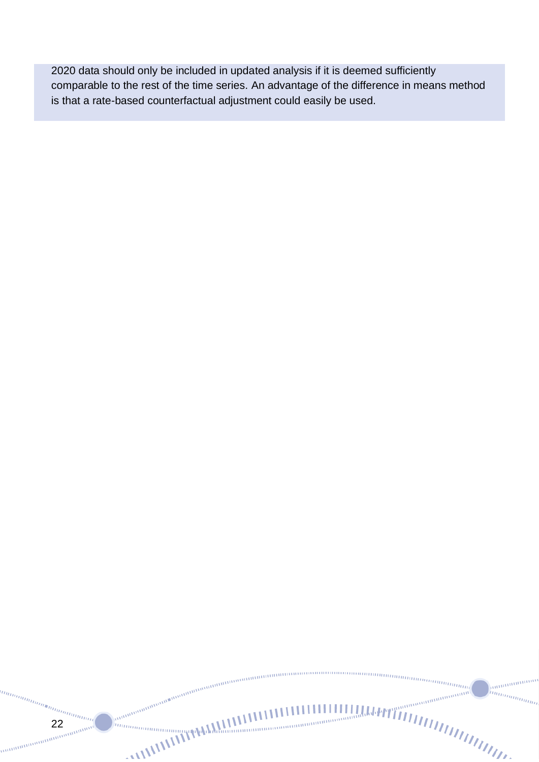2020 data should only be included in updated analysis if it is deemed sufficiently comparable to the rest of the time series. An advantage of the difference in means method is that a rate-based counterfactual adjustment could easily be used.

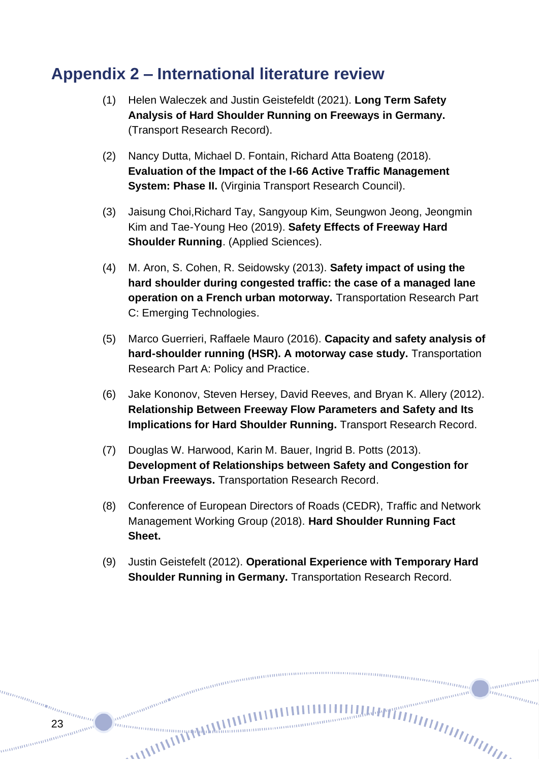### **Appendix 2 – International literature review**

- (1) Helen Waleczek and Justin Geistefeldt (2021). **Long Term Safety Analysis of Hard Shoulder Running on Freeways in Germany.** (Transport Research Record).
- (2) Nancy Dutta, Michael D. Fontain, Richard Atta Boateng (2018). **Evaluation of the Impact of the I-66 Active Traffic Management System: Phase II.** (Virginia Transport Research Council).
- (3) Jaisung Choi,Richard Tay, Sangyoup Kim, Seungwon Jeong, Jeongmin Kim and Tae-Young Heo (2019). **Safety Effects of Freeway Hard Shoulder Running**. (Applied Sciences).
- (4) M. Aron, S. Cohen, R. Seidowsky (2013). **Safety impact of using the hard shoulder during congested traffic: the case of a managed lane operation on a French urban motorway.** Transportation Research Part C: Emerging Technologies.
- (5) Marco Guerrieri, Raffaele Mauro (2016). **Capacity and safety analysis of hard-shoulder running (HSR). A motorway case study.** Transportation Research Part A: Policy and Practice.
- (6) Jake Kononov, Steven Hersey, David Reeves, and Bryan K. Allery (2012). **Relationship Between Freeway Flow Parameters and Safety and Its Implications for Hard Shoulder Running.** Transport Research Record.
- (7) Douglas W. Harwood, Karin M. Bauer, Ingrid B. Potts (2013). **Development of Relationships between Safety and Congestion for Urban Freeways.** Transportation Research Record.
- (8) Conference of European Directors of Roads (CEDR), Traffic and Network Management Working Group (2018). **Hard Shoulder Running Fact Sheet.**
- (9) Justin Geistefelt (2012). **Operational Experience with Temporary Hard Shoulder Running in Germany.** Transportation Research Record.

 $\frac{m n_{\text{min}}}{\sqrt{m}}$ 

23